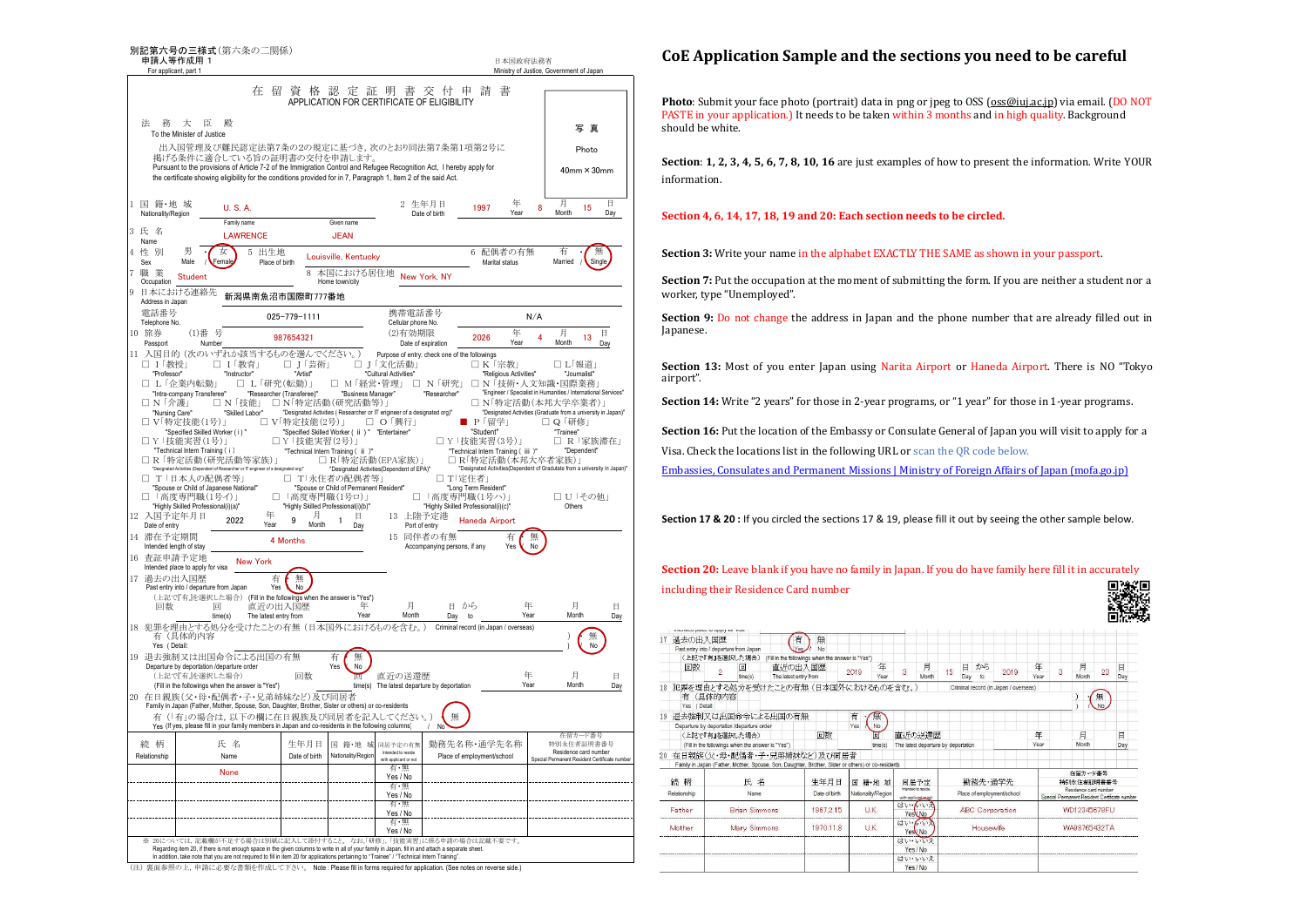

(注) 裏面参照の上,申請に必要な書類を作成して下さい。 Note : Please fill in forms required for application. (See notes on reverse side.)

## **CoE Application Sample and the sections you need to be careful**

**Photo**: Submit your face photo (portrait) data in png or jpeg to OSS (oss@iuj.ac.jp) via email. (DO NOT PASTE in your application.) It needs to be taken within 3 months and in high quality. Background should be white.

**Section**: **1, 2, 3, 4, 5, 6, 7, 8, 10, 16** are just examples of how to present the information. Write YOUR information.

## **Section 4, 6, 14, 17, 18, 19 and 20: Each section needs to be circled.**

**Section 3:** Write your name in the alphabet EXACTLY THE SAME as shown in your passport.

**Section** 7: Put the occupation at the moment of submitting the form. If you are neither a student nor a worker, type "Unemployed".

**Section 9:** Do not change the address in Japan and the phone number that are already filled out in Japanese.

**Section 13:** Most of you enter Japan using Narita Airport or Haneda Airport. There is NO "Tokyo airport".

**Section 14:** Write "2 years" for those in 2-year programs, or "1 year" for those in 1-year programs.

**Section 16:** Put the location of the Embassy or Consulate General of Japan you will visit to apply for a Visa. Check the locations list in the following URL or scan the QR code below.

Embassies, Consulates and Permanent Missions | Ministry of Foreign Affairs of Japan (mofa.go.jp)

**Section 17 & 20 :** If you circled the sections 17 & 19, please fill it out by seeing the other sample below.

**Section 20:** Leave blank if you have no family in Japan. If you do have family here fill it in accurately including their Residence Card number

|                                                    |                                                                                                    |                                                                                                                |               |      |                    |                       |         |     |     |                       |                                       |      |                                               |              |                       | ----- |  |
|----------------------------------------------------|----------------------------------------------------------------------------------------------------|----------------------------------------------------------------------------------------------------------------|---------------|------|--------------------|-----------------------|---------|-----|-----|-----------------------|---------------------------------------|------|-----------------------------------------------|--------------|-----------------------|-------|--|
| treasured process to supply not more<br>17 過去の出入国歴 |                                                                                                    | 有                                                                                                              | 無             |      |                    |                       |         |     |     |                       |                                       |      |                                               |              |                       |       |  |
|                                                    | Past entry into / departure from Japan                                                             |                                                                                                                | No            |      |                    |                       |         |     |     |                       |                                       |      |                                               |              |                       |       |  |
|                                                    | (上記で『有』を選択した場合)                                                                                    | (Fill in the followings when the answer is "Yes")                                                              |               |      |                    |                       |         |     |     |                       |                                       |      |                                               |              |                       |       |  |
| 回数                                                 | 囸                                                                                                  | 直近の出入国歴                                                                                                        |               |      | 年                  |                       | 月       |     | 日   | から                    |                                       | 年    |                                               | 月            |                       | 日     |  |
|                                                    | time(s)                                                                                            | The latest entry from                                                                                          |               | 2019 | Year               | $\overline{a}$        | Month   | 15  | Day | $\infty$              | 2019                                  | Year | 3                                             | Month        | 23                    | Day   |  |
|                                                    | 18 犯罪を理由とする処分を受けたことの有無 (日本国外におけるものを含む。                                                             |                                                                                                                |               |      |                    |                       |         |     |     |                       | Criminal record (in Japan / overseas) |      |                                               |              |                       |       |  |
| 有 (具体的内容                                           |                                                                                                    |                                                                                                                |               |      |                    |                       |         |     |     |                       |                                       |      |                                               |              | 無                     |       |  |
| Yes<br>( Detail:                                   |                                                                                                    |                                                                                                                |               |      |                    |                       |         |     |     |                       |                                       |      |                                               |              | No.                   |       |  |
|                                                    | 19 退去強制又は出国命令による出国の有無                                                                              |                                                                                                                |               | 有    | 無                  |                       |         |     |     |                       |                                       |      |                                               |              |                       |       |  |
|                                                    | Departure by deportation /departure order                                                          |                                                                                                                |               | Yes  | <b>No</b>          |                       |         |     |     |                       |                                       |      |                                               |              |                       |       |  |
|                                                    | (上記で『有』を選択した場合)                                                                                    |                                                                                                                | 回数            |      | 回                  |                       |         |     |     |                       |                                       | 年    |                                               | 月            |                       | 日     |  |
|                                                    |                                                                                                    | 直折の送還歴<br>(Fill in the followings when the answer is "Yes").<br>The latest departure by deportation<br>time(s) |               |      | Month<br>Year      |                       |         | Dav |     |                       |                                       |      |                                               |              |                       |       |  |
|                                                    |                                                                                                    |                                                                                                                |               |      |                    |                       |         |     |     |                       |                                       |      |                                               |              |                       |       |  |
|                                                    | 20 在日親族(父・母・配偶者・子・兄弟姉妹など)及び同居者                                                                     |                                                                                                                |               |      |                    |                       |         |     |     |                       |                                       |      |                                               |              |                       |       |  |
|                                                    | Family in Japan (Father, Mother, Spouse, Son, Daughter, Brother, Sister or others) or co-residents |                                                                                                                |               |      |                    |                       |         |     |     |                       |                                       |      |                                               |              |                       |       |  |
| 続<br>柄<br>氏名                                       |                                                                                                    | 生年月日                                                                                                           | 国籍·地域         |      | 同居予定               |                       | 勤務先·通学先 |     |     | 在留カード番号<br>特別永住者証明書番号 |                                       |      |                                               |              |                       |       |  |
|                                                    |                                                                                                    |                                                                                                                |               |      |                    |                       |         |     |     |                       |                                       |      |                                               |              | Residence card number |       |  |
|                                                    |                                                                                                    |                                                                                                                |               |      |                    | Intended to reside    |         |     |     |                       |                                       |      |                                               |              |                       |       |  |
| Relationship                                       | Name                                                                                               |                                                                                                                | Date of birth |      | Nationality/Region | with applicant or not |         |     |     |                       | Place of employment/school            |      | Special Permanent Resident Certificate number |              |                       |       |  |
| Father                                             | <b>Brian Simmons</b>                                                                               |                                                                                                                | 1967.2.15     |      | UK.                | はいイルス                 | Yes No  |     |     |                       | <b>ABC</b> Corporation                |      |                                               | WD12345678FU |                       |       |  |
| Mother                                             | Mary Simmons                                                                                       |                                                                                                                | 1970118       |      | UK.                | はいんいえ<br>Yes No       |         |     |     | Housewife             |                                       |      |                                               | WA98765432TA |                       |       |  |
|                                                    |                                                                                                    |                                                                                                                |               |      |                    | はいいいえ                 |         |     |     |                       |                                       |      |                                               |              |                       |       |  |
|                                                    |                                                                                                    |                                                                                                                |               |      |                    | Yes / No              |         |     |     |                       |                                       |      |                                               |              |                       |       |  |
|                                                    |                                                                                                    |                                                                                                                |               |      |                    | はい・いいえ                |         |     |     |                       |                                       |      |                                               |              |                       |       |  |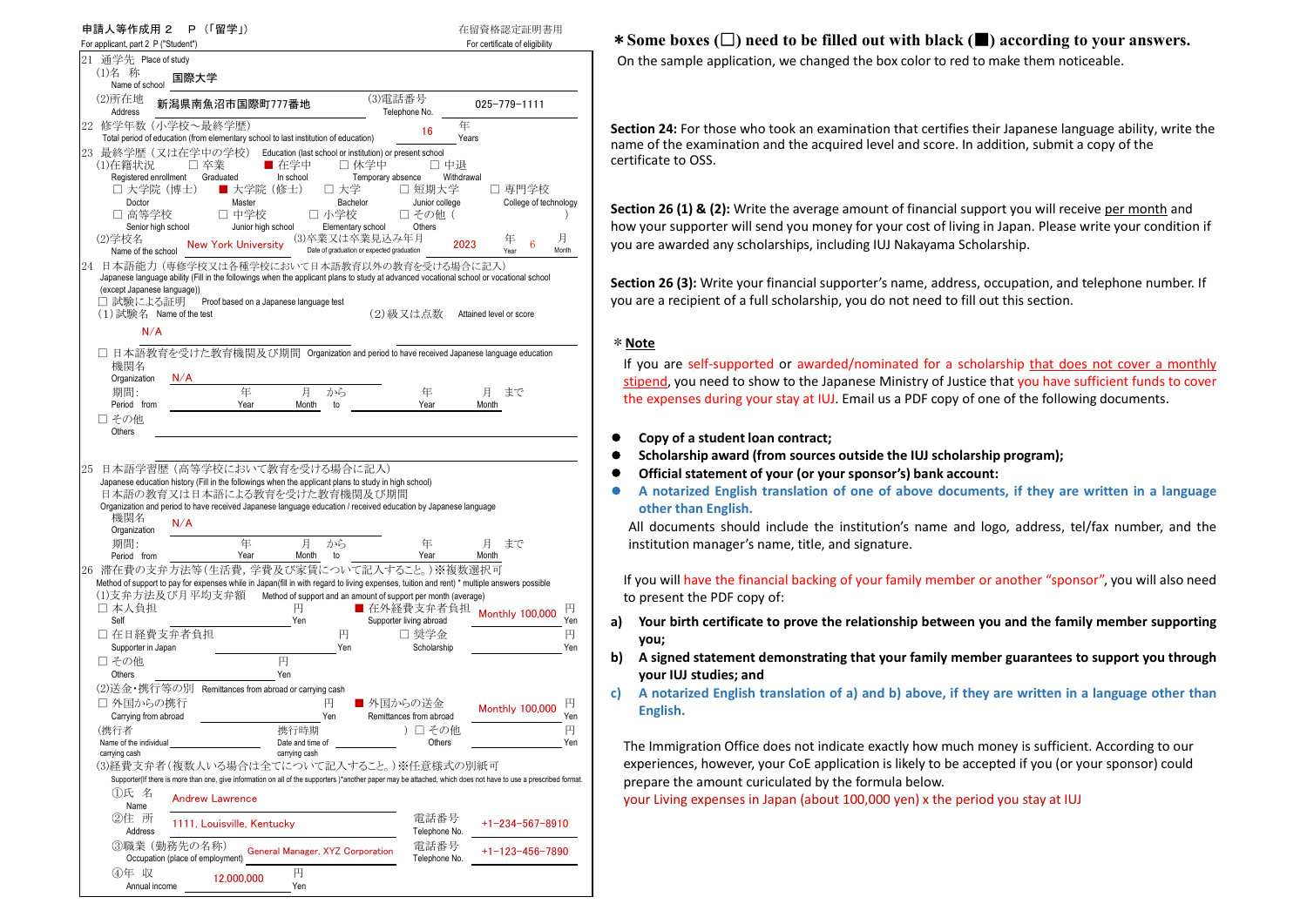| 申請人等作成用 2<br>P (「留学」)<br>For applicant, part 2 P ("Student")                                                                                                                                                                                                                                                                                                                                                                                                                                                                                                                                                                                                                                                                                                                                                                       | 在留資格認定証明書用<br>For certificate of eligibility                                                                                  |
|------------------------------------------------------------------------------------------------------------------------------------------------------------------------------------------------------------------------------------------------------------------------------------------------------------------------------------------------------------------------------------------------------------------------------------------------------------------------------------------------------------------------------------------------------------------------------------------------------------------------------------------------------------------------------------------------------------------------------------------------------------------------------------------------------------------------------------|-------------------------------------------------------------------------------------------------------------------------------|
| 21 通学先 Place of study<br>(1)名 称<br>国際大学                                                                                                                                                                                                                                                                                                                                                                                                                                                                                                                                                                                                                                                                                                                                                                                            |                                                                                                                               |
| Name of school<br>(3)電話番号<br>(2)所在地<br>新潟県南魚沼市国際町777番地<br>Address<br>Telephone No.                                                                                                                                                                                                                                                                                                                                                                                                                                                                                                                                                                                                                                                                                                                                                 | $025 - 779 - 1111$                                                                                                            |
| 22 修学年数 (小学校~最終学歴)<br>16<br>Total period of education (from elementary school to last institution of education)<br>23 最終学歴(又は在学中の学校)<br>Education (last school or institution) or present school<br>■ 在学中<br>□ 休学中<br>(1)在籍状況<br>□ 卒業<br>Registered enrollment<br>In school<br>Graduated<br>Temporary absence<br>■ 大学院 (修士)<br>□ 大学院(博士)<br>□ 大学<br>□ 短期大学<br>Doctor<br>Master<br>Bachelor<br>□ 高等学校<br>□ 中学校<br>□ 小学校<br>□ その他(<br>Junior high school<br>Senior high school<br>Elementary school<br>Others<br>(3)卒業又は卒業見込み年月<br>(2)学校名<br><b>New York University</b><br>Date of graduation or expected graduation<br>Name of the school<br>24 日本語能力 (専修学校又は各種学校において日本語教育以外の教育を受ける場合に記入)<br>Japanese language ability (Fill in the followings when the applicant plans to study at advanced vocational school or vocational school | 年<br>Years<br>□ 中退<br>Withdrawal<br>□ 専門学校<br>Junior college<br>College of technology<br>月<br>年<br>2023<br>6<br>Month<br>Year |
| (except Japanese language))<br>Proof based on a Japanese language test<br>□ 試験による証明<br>(2)級又は点数<br>$(1)$ 試験名 Name of the test<br>N/A                                                                                                                                                                                                                                                                                                                                                                                                                                                                                                                                                                                                                                                                                               | Attained level or score                                                                                                       |
| □ 日本語教育を受けた教育機関及び期間 Organization and period to have received Japanese language education<br>機関名<br>Organization<br>N/A                                                                                                                                                                                                                                                                                                                                                                                                                                                                                                                                                                                                                                                                                                             |                                                                                                                               |
| 年<br>月<br>から<br>期間:<br>年<br>Period from<br>Year<br>Year<br>Month<br>to<br>□ その他<br>Others                                                                                                                                                                                                                                                                                                                                                                                                                                                                                                                                                                                                                                                                                                                                          | 月<br>まで<br>Month                                                                                                              |
| 日本語学習歴 (高等学校において教育を受ける場合に記入)<br>25<br>Japanese education history (Fill in the followings when the applicant plans to study in high school)<br>日本語の教育又は日本語による教育を受けた教育機関及び期間<br>Organization and period to have received Japanese language education / received education by Japanese language<br>機関名<br>N/A<br>Organization                                                                                                                                                                                                                                                                                                                                                                                                                                                                                                         |                                                                                                                               |
| 年<br>期間:<br>月<br>から<br>年<br>Period from<br>Year<br>Month<br>to<br>Year                                                                                                                                                                                                                                                                                                                                                                                                                                                                                                                                                                                                                                                                                                                                                             | 月<br>まで<br>Month                                                                                                              |
| 26 滞在費の支弁方法等(生活費, 学費及び家賃について記入すること。)※複数選択可<br>Method of support to pay for expenses while in Japan(fill in with regard to living expenses, tuition and rent) * multiple answers possible<br>(1)支弁方法及び月平均支弁額<br>Method of support and an amount of support per month (average)<br>□ 本人負担<br>■ 在外経費支弁者負担<br>円<br>Self<br>Supporter living abroad<br>Yen                                                                                                                                                                                                                                                                                                                                                                                                                                                                              | 円<br><b>Monthly 100,000</b><br>Yen                                                                                            |
| □ 在日経費支弁者負担<br>円<br>□ 奨学金<br>Supporter in Japan<br>Yen<br>円<br>□ その他<br>Others<br>Yen                                                                                                                                                                                                                                                                                                                                                                                                                                                                                                                                                                                                                                                                                                                                              | 円<br>Scholarship<br>Yen                                                                                                       |
| (2)送金・携行等の別 Remittances from abroad or carrying cash<br>□ 外国からの携行<br>■ 外国からの送金<br>円<br>Carrying from abroad<br>Yen<br>Remittances from abroad                                                                                                                                                                                                                                                                                                                                                                                                                                                                                                                                                                                                                                                                                      | 円<br><b>Monthly 100,000</b><br>Yen                                                                                            |
| (携行者<br>携行時期<br>Name of the individual<br>Date and time of<br>carrying cash<br>carrying cash<br>(3)経費支弁者(複数人いる場合は全てについて記入すること。)※任意様式の別紙可                                                                                                                                                                                                                                                                                                                                                                                                                                                                                                                                                                                                                                                                                           | 円<br>)口 その他<br>Others<br>Yen                                                                                                  |
| Supporter(If there is more than one, give information on all of the supporters)*another paper may be attached, which does not have to use a prescribed format.<br>①氏 名<br><b>Andrew Lawrence</b><br>Name                                                                                                                                                                                                                                                                                                                                                                                                                                                                                                                                                                                                                           |                                                                                                                               |
| ②住 所<br>1111, Louisville, Kentucky<br>Address                                                                                                                                                                                                                                                                                                                                                                                                                                                                                                                                                                                                                                                                                                                                                                                      | 電話番号<br>+1-234-567-8910<br>Telephone No.                                                                                      |
| ③職業(勤務先の名称)<br>General Manager, XYZ Corporation<br>Occupation (place of employment)                                                                                                                                                                                                                                                                                                                                                                                                                                                                                                                                                                                                                                                                                                                                                | 電話番号<br>$+1 - 123 - 456 - 7890$<br>Telephone No.                                                                              |
| ④年 収<br>円<br>12,000,000<br>Annual income<br>Yen                                                                                                                                                                                                                                                                                                                                                                                                                                                                                                                                                                                                                                                                                                                                                                                    |                                                                                                                               |

## \***Some boxes (**□**) need to be filled out with black (**■**) according to your answers.**

On the sample application, we changed the box color to red to make them noticeable.

**Section 24:** For those who took an examination that certifies their Japanese language ability, write the name of the examination and the acquired level and score. In addition, submit a copy of the certificate to OSS.

**Section 26 (1) & (2):** Write the average amount of financial support you will receive per month and how your supporter will send you money for your cost of living in Japan. Please write your condition if you are awarded any scholarships, including IUJ Nakayama Scholarship.

**Section 26 (3):** Write your financial supporter's name, address, occupation, and telephone number. If you are a recipient of a full scholarship, you do not need to fill out this section.

## \***Note**

If you are self-supported or awarded/nominated for a scholarship that does not cover a monthly stipend, you need to show to the Japanese Ministry of Justice that you have sufficient funds to cover the expenses during your stay at IUJ. Email us a PDF copy of one of the following documents.

- **Copy of a student loan contract;**
- **Scholarship award (from sources outside the IUJ scholarship program);**
- **Official statement of your (or your sponsor's) bank account:**
- **A notarized English translation of one of above documents, if they are written in a language**  $\bullet$ **other than English.**

All documents should include the institution's name and logo, address, tel/fax number, and the institution manager's name, title, and signature.

If you will have the financial backing of your family member or another "sponsor", you will also need to present the PDF copy of:

- **a) Your birth certificate to prove the relationship between you and the family member supporting you;**
- **b) A signed statement demonstrating that your family member guarantees to support you through your IUJ studies; and**
- c) A notarized English translation of a) and b) above, if they are written in a language other than **English.**

The Immigration Office does not indicate exactly how much money is sufficient. According to our experiences, however, your CoE application is likely to be accepted if you (or your sponsor) could prepare the amount curiculated by the formula below.

your Living expenses in Japan (about 100,000 yen) x the period you stay at IUJ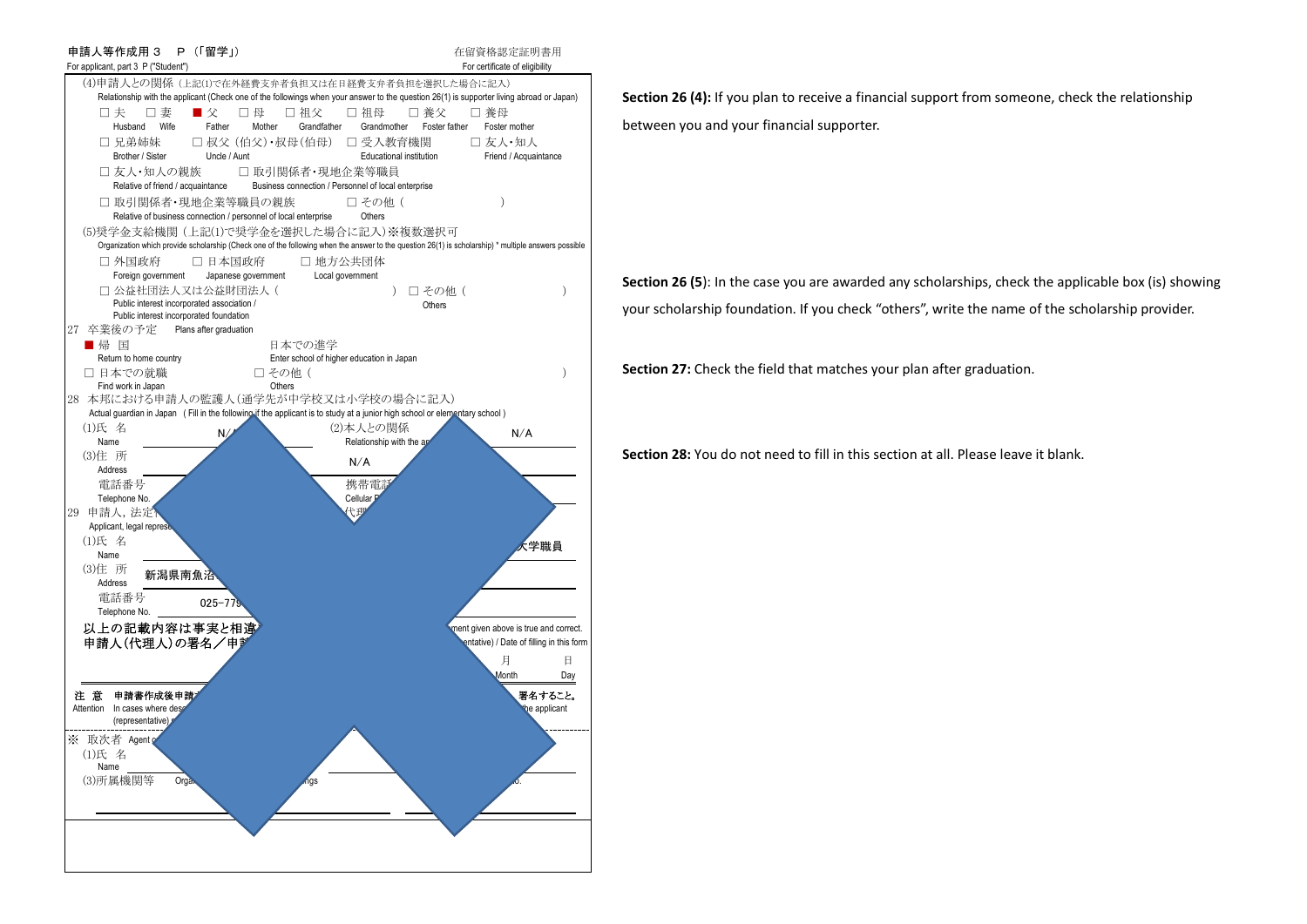

**Section 26 (4):** If you plan to receive a financial support from someone, check the relationship between you and your financial supporter.

**Section 26 (5**): In the case you are awarded any scholarships, check the applicable box (is) showing your scholarship foundation. If you check "others", write the name of the scholarship provider.

**Section 27:** Check the field that matches your plan after graduation.

**Section 28:** You do not need to fill in this section at all. Please leave it blank.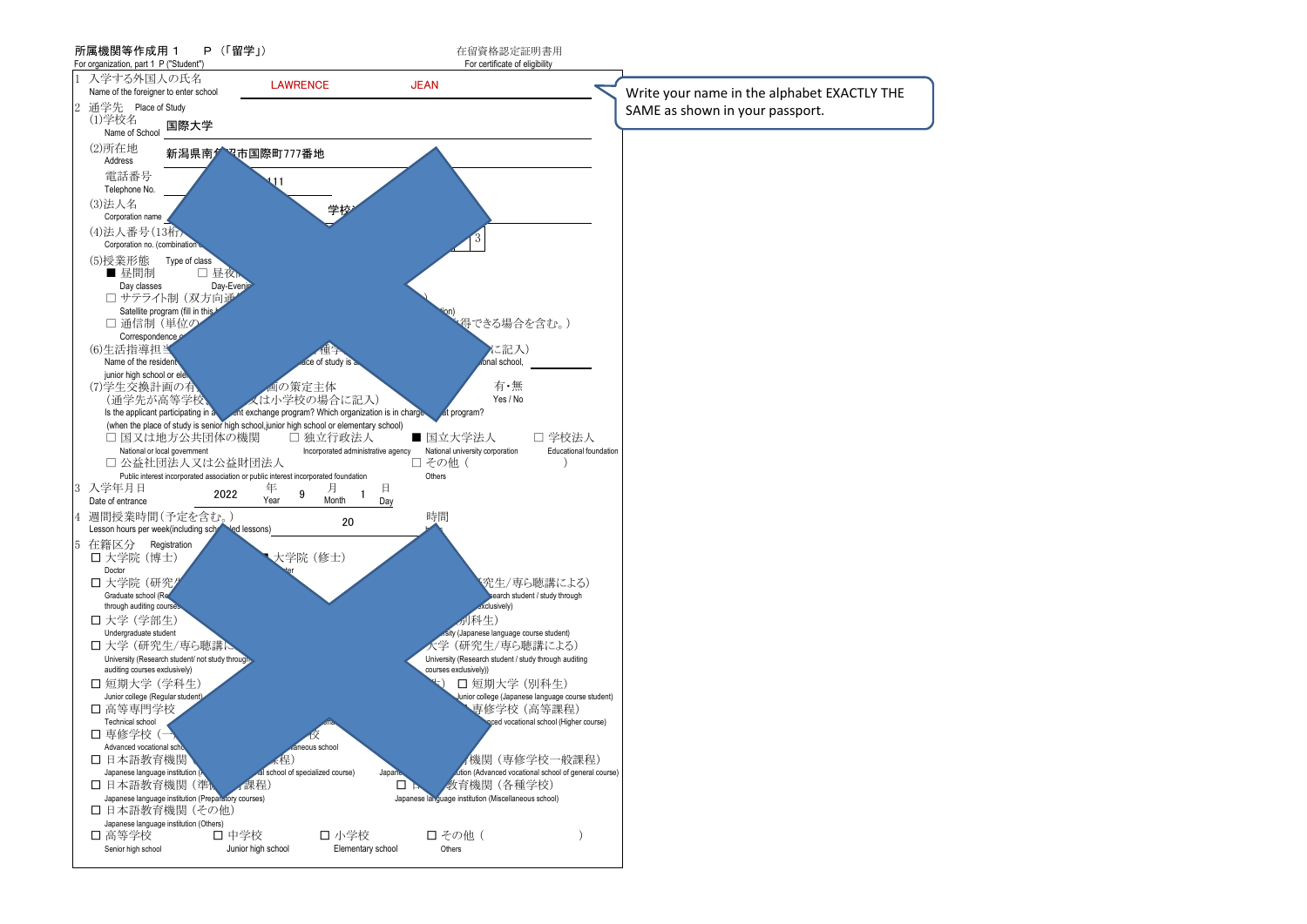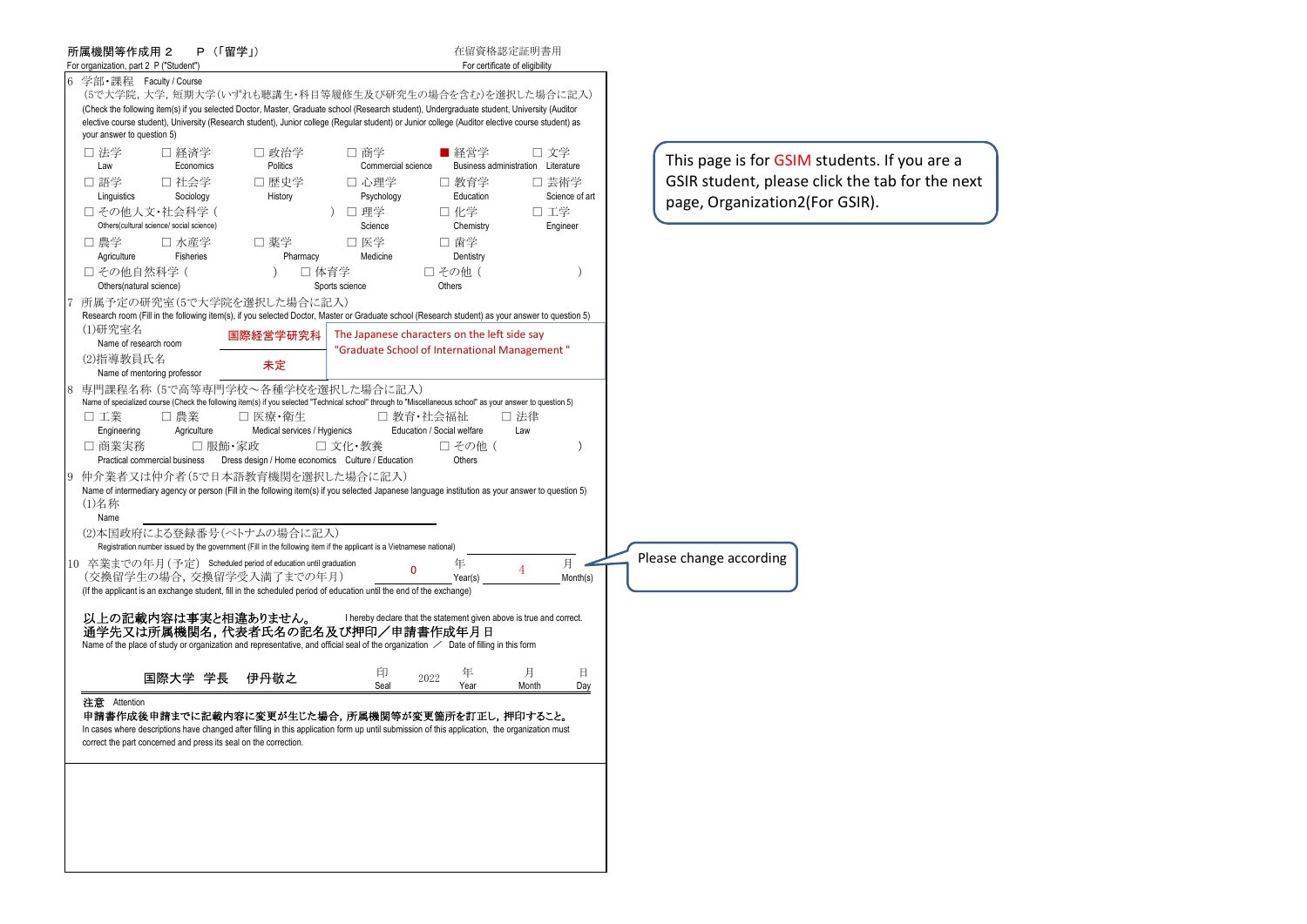| 所属機関等作成用 2<br>For organization, part 2 P ("Student")                                                                                                                                                                                                                                                                                                                                                            | P (「留学」)                                                                                                |                                                                                               | 在留資格認定証明書用<br>For certificate of eligibility   |                                                                       |                                                                |
|-----------------------------------------------------------------------------------------------------------------------------------------------------------------------------------------------------------------------------------------------------------------------------------------------------------------------------------------------------------------------------------------------------------------|---------------------------------------------------------------------------------------------------------|-----------------------------------------------------------------------------------------------|------------------------------------------------|-----------------------------------------------------------------------|----------------------------------------------------------------|
| 学部・課程 Faculty / Course<br>(5で大学院,大学,短期大学(いずれも聴講生・科目等履修生及び研究生の場合を含む)を選択した場合に記入)<br>(Check the following item(s) if you selected Doctor, Master, Graduate school (Research student), Undergraduate student, University (Auditor<br>elective course student), University (Research student), Junior college (Regular student) or Junior college (Auditor elective course student) as<br>your answer to question 5) |                                                                                                         |                                                                                               |                                                |                                                                       |                                                                |
| □ 法学<br>□ 経済学<br>Law<br>Economics<br>□ 語学<br>□ 社会学<br>Linguistics<br>Sociology                                                                                                                                                                                                                                                                                                                                  | □ 政治学<br>Politics<br>□ 歴史学<br>History                                                                   | □ 商学<br>Commercial science<br>□ 心理学<br>Psychology                                             | ■ 経営学<br>□ 教育学<br>Education                    | □ 文学<br>Business administration Literature<br>□ 芸術学<br>Science of art | This page is for G!<br>GSIR student, plea<br>page, Organizatio |
| □ その他人文·社会科学(<br>Others(cultural science/ social science)                                                                                                                                                                                                                                                                                                                                                       |                                                                                                         | □ 理学<br>Science                                                                               | 口 化学<br>Chemistry                              | 口 工学<br>Engineer                                                      |                                                                |
| □ 農学<br>□ 水産学<br>Agriculture<br>Fisheries                                                                                                                                                                                                                                                                                                                                                                       | □ 薬学<br>Pharmacy                                                                                        | □ 医学<br>Medicine                                                                              | □ 歯学<br>Dentistry                              |                                                                       |                                                                |
| □ その他自然科学 (<br>Others(natural science)                                                                                                                                                                                                                                                                                                                                                                          |                                                                                                         | □ 体育学<br>Sports science                                                                       | □ その他 (<br>Others                              | $\lambda$                                                             |                                                                |
| 所属予定の研究室(5で大学院を選択した場合に記入)<br>Research room (Fill in the following item(s), if you selected Doctor, Master or Graduate school (Research student) as your answer to question 5)                                                                                                                                                                                                                                   |                                                                                                         |                                                                                               |                                                |                                                                       |                                                                |
| (1)研究室名<br>Name of research room                                                                                                                                                                                                                                                                                                                                                                                | 国際経営学研究科                                                                                                | The Japanese characters on the left side say<br>"Graduate School of International Management" |                                                |                                                                       |                                                                |
| (2)指導教員氏名<br>Name of mentoring professor                                                                                                                                                                                                                                                                                                                                                                        | 未定                                                                                                      |                                                                                               |                                                |                                                                       |                                                                |
| 専門課程名称 (5で高等専門学校~各種学校を選択した場合に記入)<br>Name of specialized course (Check the following item(s) if you selected "Technical school" through to "Miscellaneous school" as your answer to question 5)<br>口 工業<br>□ 農業<br>Engineering<br>Agriculture<br>□ 商業実務<br>Practical commercial business                                                                                                                         | □ 医療・衛生<br>Medical services / Hygienics<br>□ 服飾・家政<br>Dress design / Home economics Culture / Education | □ 教育・社会福祉<br>□ 文化・教養                                                                          | Education / Social welfare<br>□ その他(<br>Others | □ 法律<br>Law<br>$\mathcal{E}$                                          |                                                                |
| 仲介業者又は仲介者(5で日本語教育機関を選択した場合に記入)<br>Name of intermediary agency or person (Fill in the following item(s) if you selected Japanese language institution as your answer to question 5)<br>(1)名称<br>Name<br>(2)本国政府による登録番号(ベトナムの場合に記入)                                                                                                                                                                               |                                                                                                         |                                                                                               |                                                |                                                                       |                                                                |
| Registration number issued by the government (Fill in the following item if the applicant is a Vietnamese national)<br>10 卒業までの年月 (予定) Scheduled period of education until graduation                                                                                                                                                                                                                           |                                                                                                         | 0                                                                                             | 年                                              | 月<br>4                                                                | Please change according                                        |
| (交換留学生の場合,交換留学受入満了までの年月)<br>(If the applicant is an exchange student, fill in the scheduled period of education until the end of the exchange)                                                                                                                                                                                                                                                                  |                                                                                                         |                                                                                               | Year(s)                                        | Month(s)                                                              |                                                                |
| 以上の記載内容は事実と相違ありません。<br>通学先又は所属機関名,代表者氏名の記名及び押印/申請書作成年月日<br>Name of the place of study or organization and representative, and official seal of the organization $\angle$ Date of filling in this form                                                                                                                                                                                                           |                                                                                                         | I hereby declare that the statement given above is true and correct.                          |                                                |                                                                       |                                                                |
| 国際大学 学長                                                                                                                                                                                                                                                                                                                                                                                                         | 伊丹敬之                                                                                                    | 印<br>2022<br>Seal                                                                             | 年<br>Year                                      | 月<br>且<br>Month<br>Day                                                |                                                                |
| 注意 Attention<br>申請書作成後申請までに記載内容に変更が生じた場合,所属機関等が変更箇所を訂正し,押印すること。<br>In cases where descriptions have changed after filling in this application form up until submission of this application, the organization must<br>correct the part concerned and press its seal on the correction.                                                                                                                           |                                                                                                         |                                                                                               |                                                |                                                                       |                                                                |
|                                                                                                                                                                                                                                                                                                                                                                                                                 |                                                                                                         |                                                                                               |                                                |                                                                       |                                                                |
|                                                                                                                                                                                                                                                                                                                                                                                                                 |                                                                                                         |                                                                                               |                                                |                                                                       |                                                                |

**GSIM** students. If you are a ease click the tab for the next pn2(For GSIR).